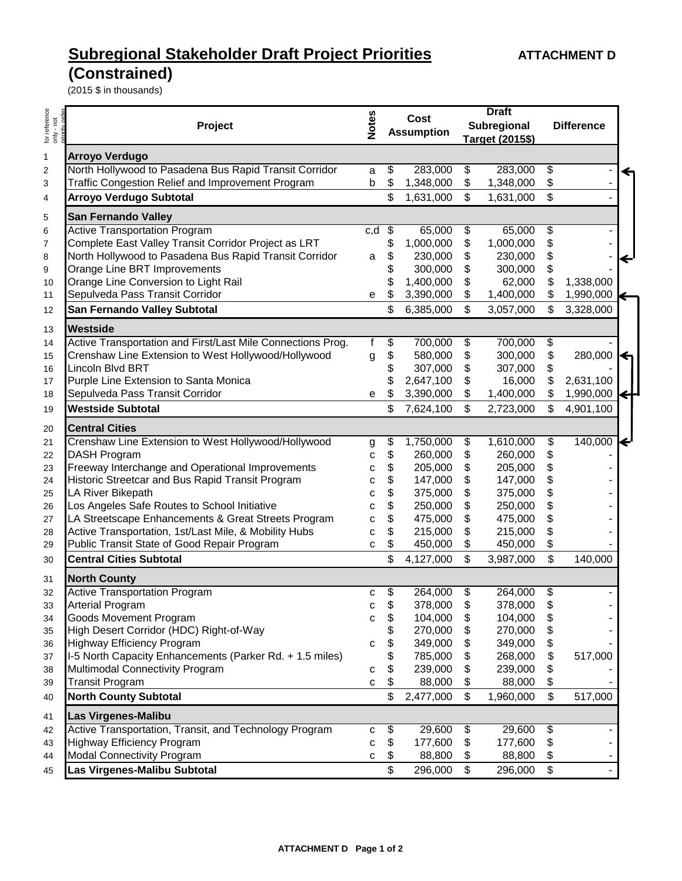## **Subregional Stakeholder Draft Project Priorities ATTACHMENT D**

## **(Constrained)**

(2015 \$ in thousands)

| for reference<br>only - not | Project                                                     |     | Cost<br><b>Assumption</b> |           | <b>Draft</b><br>Subregional<br>Target (2015\$) |           | <b>Difference</b>       |               |
|-----------------------------|-------------------------------------------------------------|-----|---------------------------|-----------|------------------------------------------------|-----------|-------------------------|---------------|
|                             |                                                             |     |                           |           |                                                |           |                         |               |
| 1                           | <b>Arroyo Verdugo</b>                                       |     |                           |           |                                                |           |                         |               |
| $\overline{\mathbf{c}}$     | North Hollywood to Pasadena Bus Rapid Transit Corridor      | a   | \$                        | 283,000   | \$                                             | 283,000   | \$                      | ↞             |
| 3                           | Traffic Congestion Relief and Improvement Program           | b   | \$                        | 1,348,000 | \$                                             | 1,348,000 | \$                      |               |
| 4                           | <b>Arroyo Verdugo Subtotal</b>                              |     | \$                        | 1,631,000 | \$                                             | 1,631,000 | \$                      |               |
| 5                           | <b>San Fernando Valley</b>                                  |     |                           |           |                                                |           |                         |               |
| 6                           | <b>Active Transportation Program</b>                        | c,d | \$                        | 65,000    | \$                                             | 65,000    | \$                      |               |
| 7                           | Complete East Valley Transit Corridor Project as LRT        |     |                           | 1,000,000 | \$                                             | 1,000,000 | \$                      |               |
| 8                           | North Hollywood to Pasadena Bus Rapid Transit Corridor      | a   | \$                        | 230,000   | \$                                             | 230,000   | \$                      | ←             |
| 9                           | Orange Line BRT Improvements                                |     |                           | 300,000   | \$                                             | 300,000   | \$                      |               |
| 10                          | Orange Line Conversion to Light Rail                        |     |                           | 1,400,000 | \$                                             | 62,000    | \$                      | 1,338,000     |
| 11                          | Sepulveda Pass Transit Corridor                             | е   | \$                        | 3,390,000 | \$                                             | 1,400,000 | \$                      | 1,990,000     |
| 12                          | San Fernando Valley Subtotal                                |     | \$                        | 6,385,000 | \$                                             | 3,057,000 | $\mathfrak{S}$          | 3,328,000     |
| 13                          | Westside                                                    |     |                           |           |                                                |           |                         |               |
| 14                          | Active Transportation and First/Last Mile Connections Prog. | f   | \$                        | 700,000   | \$                                             | 700,000   | \$                      |               |
| 15                          | Crenshaw Line Extension to West Hollywood/Hollywood         | g   | \$                        | 580,000   | \$                                             | 300,000   | \$                      | 280,000<br>↞  |
| 16                          | Lincoln Blvd BRT                                            |     |                           | 307,000   | \$                                             | 307,000   | \$                      |               |
| 17                          | Purple Line Extension to Santa Monica                       |     |                           | 2,647,100 | \$                                             | 16,000    | \$                      | 2,631,100     |
| 18                          | Sepulveda Pass Transit Corridor                             | е   |                           | 3,390,000 | \$                                             | 1,400,000 | \$                      | 1,990,000     |
| 19                          | <b>Westside Subtotal</b>                                    |     | \$                        | 7,624,100 | \$                                             | 2,723,000 | \$                      | 4,901,100     |
| 20                          | <b>Central Cities</b>                                       |     |                           |           |                                                |           |                         |               |
| 21                          | Crenshaw Line Extension to West Hollywood/Hollywood         | g   | \$                        | 1,750,000 | \$                                             | 1,610,000 | \$                      | 140,000<br>Ι← |
| 22                          | DASH Program                                                | С   | \$                        | 260,000   | \$                                             | 260,000   | \$                      |               |
| 23                          | Freeway Interchange and Operational Improvements            | с   | \$                        | 205,000   | \$                                             | 205,000   | \$                      |               |
| 24                          | Historic Streetcar and Bus Rapid Transit Program            | с   | \$                        | 147,000   | \$                                             | 147,000   | \$                      |               |
| 25                          | LA River Bikepath                                           | с   | \$                        | 375,000   | \$                                             | 375,000   | \$                      |               |
| 26                          | Los Angeles Safe Routes to School Initiative                | с   | \$                        | 250,000   | \$                                             | 250,000   | \$                      |               |
| 27                          | LA Streetscape Enhancements & Great Streets Program         | с   | \$                        | 475,000   | \$                                             | 475,000   | \$                      |               |
| 28                          | Active Transportation, 1st/Last Mile, & Mobility Hubs       | С   | \$                        | 215,000   | \$                                             | 215,000   | \$                      |               |
| 29                          | Public Transit State of Good Repair Program                 | C   | \$                        | 450,000   | \$                                             | 450,000   | \$                      |               |
| 30                          | <b>Central Cities Subtotal</b>                              |     | \$                        | 4,127,000 | \$                                             | 3,987,000 | \$                      | 140,000       |
| 31                          | <b>North County</b>                                         |     |                           |           |                                                |           |                         |               |
| 32                          | <b>Active Transportation Program</b>                        | с   | \$                        | 264,000   | \$                                             | 264,000   | $\overline{\mathbf{e}}$ |               |
| 33                          | Arterial Program                                            | с   | \$                        | 378,000   | \$                                             | 378,000   | \$                      |               |
| 34                          | Goods Movement Program                                      | C   | \$                        | 104,000   | \$                                             | 104,000   | \$                      |               |
| 35                          | High Desert Corridor (HDC) Right-of-Way                     |     | \$                        | 270,000   | \$                                             | 270,000   | \$                      |               |
| 36                          | Highway Efficiency Program                                  | C   | \$                        | 349,000   | \$                                             | 349,000   | \$                      |               |
| 37                          | I-5 North Capacity Enhancements (Parker Rd. + 1.5 miles)    |     | \$                        | 785,000   | \$                                             | 268,000   | \$                      | 517,000       |
| 38                          | Multimodal Connectivity Program                             | с   | \$                        | 239,000   | \$                                             | 239,000   | \$                      |               |
| 39                          | <b>Transit Program</b>                                      | C   | \$                        | 88,000    | \$                                             | 88,000    | \$                      |               |
| 40                          | <b>North County Subtotal</b>                                |     | \$                        | 2,477,000 | \$                                             | 1,960,000 | $\mathfrak{S}$          | 517,000       |
| 41                          | Las Virgenes-Malibu                                         |     |                           |           |                                                |           |                         |               |
| 42                          | Active Transportation, Transit, and Technology Program      | с   | \$                        | 29,600    | \$                                             | 29,600    | \$                      |               |
| 43                          | Highway Efficiency Program                                  | с   | \$                        | 177,600   | \$                                             | 177,600   | \$                      |               |
| 44                          | <b>Modal Connectivity Program</b>                           | С   | \$                        | 88,800    | \$                                             | 88,800    | \$                      |               |
| 45                          | Las Virgenes-Malibu Subtotal                                |     | \$                        | 296,000   | \$                                             | 296,000   | \$                      |               |